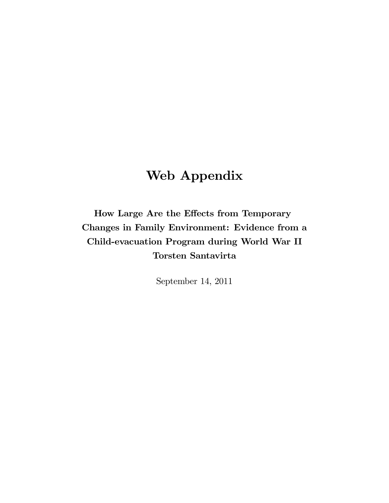## Web Appendix

How Large Are the Effects from Temporary Changes in Family Environment: Evidence from a Child-evacuation Program during World War II Torsten Santavirta

September 14, 2011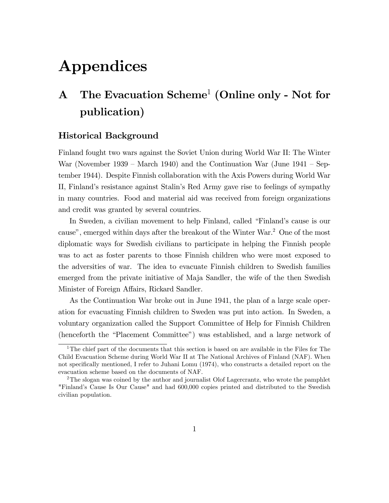# Appendices

## A The Evacuation Scheme<sup>1</sup> (Online only - Not for publication)

### Historical Background

Finland fought two wars against the Soviet Union during World War II: The Winter War (November 1939 – March 1940) and the Continuation War (June  $1941$  – September 1944). Despite Finnish collaboration with the Axis Powers during World War II, Finlandís resistance against Stalinís Red Army gave rise to feelings of sympathy in many countries. Food and material aid was received from foreign organizations and credit was granted by several countries.

In Sweden, a civilian movement to help Finland, called "Finland's cause is our cause", emerged within days after the breakout of the Winter War.<sup>2</sup> One of the most diplomatic ways for Swedish civilians to participate in helping the Finnish people was to act as foster parents to those Finnish children who were most exposed to the adversities of war. The idea to evacuate Finnish children to Swedish families emerged from the private initiative of Maja Sandler, the wife of the then Swedish Minister of Foreign Affairs, Rickard Sandler.

As the Continuation War broke out in June 1941, the plan of a large scale operation for evacuating Finnish children to Sweden was put into action. In Sweden, a voluntary organization called the Support Committee of Help for Finnish Children (henceforth the "Placement Committee") was established, and a large network of

<sup>&</sup>lt;sup>1</sup>The chief part of the documents that this section is based on are available in the Files for The Child Evacuation Scheme during World War II at The National Archives of Finland (NAF). When not specifically mentioned, I refer to Juhani Lomu (1974), who constructs a detailed report on the evacuation scheme based on the documents of NAF.

<sup>&</sup>lt;sup>2</sup>The slogan was coined by the author and journalist Olof Lagercrantz, who wrote the pamphlet "Finlandís Cause Is Our Cause" and had 600,000 copies printed and distributed to the Swedish civilian population.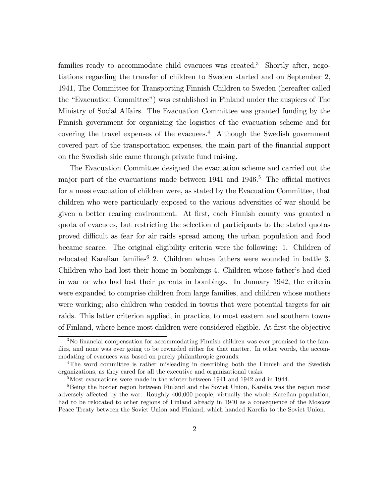families ready to accommodate child evacuees was created.<sup>3</sup> Shortly after, negotiations regarding the transfer of children to Sweden started and on September 2, 1941, The Committee for Transporting Finnish Children to Sweden (hereafter called the "Evacuation Committee") was established in Finland under the auspices of The Ministry of Social Affairs. The Evacuation Committee was granted funding by the Finnish government for organizing the logistics of the evacuation scheme and for covering the travel expenses of the evacuees.<sup>4</sup> Although the Swedish government covered part of the transportation expenses, the main part of the financial support on the Swedish side came through private fund raising.

The Evacuation Committee designed the evacuation scheme and carried out the major part of the evacuations made between  $1941$  and  $1946$ <sup>5</sup>. The official motives for a mass evacuation of children were, as stated by the Evacuation Committee, that children who were particularly exposed to the various adversities of war should be given a better rearing environment. At Örst, each Finnish county was granted a quota of evacuees, but restricting the selection of participants to the stated quotas proved difficult as fear for air raids spread among the urban population and food became scarce. The original eligibility criteria were the following: 1. Children of relocated Karelian families<sup>6</sup> 2. Children whose fathers were wounded in battle 3. Children who had lost their home in bombings 4. Children whose father's had died in war or who had lost their parents in bombings. In January 1942, the criteria were expanded to comprise children from large families, and children whose mothers were working; also children who resided in towns that were potential targets for air raids. This latter criterion applied, in practice, to most eastern and southern towns of Finland, where hence most children were considered eligible. At first the objective

 $3$ No financial compensation for accommodating Finnish children was ever promised to the families, and none was ever going to be rewarded either for that matter. In other words, the accommodating of evacuees was based on purely philanthropic grounds.

<sup>&</sup>lt;sup>4</sup>The word committee is rather misleading in describing both the Finnish and the Swedish organizations, as they cared for all the executive and organizational tasks.

<sup>5</sup>Most evacuations were made in the winter between 1941 and 1942 and in 1944.

<sup>&</sup>lt;sup>6</sup>Being the border region between Finland and the Soviet Union, Karelia was the region most adversely affected by the war. Roughly 400,000 people, virtually the whole Karelian population, had to be relocated to other regions of Finland already in 1940 as a consequence of the Moscow Peace Treaty between the Soviet Union and Finland, which handed Karelia to the Soviet Union.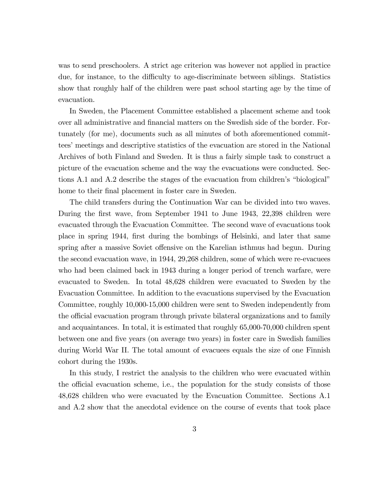was to send preschoolers. A strict age criterion was however not applied in practice due, for instance, to the difficulty to age-discriminate between siblings. Statistics show that roughly half of the children were past school starting age by the time of evacuation.

In Sweden, the Placement Committee established a placement scheme and took over all administrative and financial matters on the Swedish side of the border. Fortunately (for me), documents such as all minutes of both aforementioned committees' meetings and descriptive statistics of the evacuation are stored in the National Archives of both Finland and Sweden. It is thus a fairly simple task to construct a picture of the evacuation scheme and the way the evacuations were conducted. Sections A.1 and A.2 describe the stages of the evacuation from children's "biological" home to their final placement in foster care in Sweden.

The child transfers during the Continuation War can be divided into two waves. During the first wave, from September 1941 to June 1943, 22,398 children were evacuated through the Evacuation Committee. The second wave of evacuations took place in spring 1944, Örst during the bombings of Helsinki, and later that same spring after a massive Soviet of fensive on the Karelian isthmus had begun. During the second evacuation wave, in 1944, 29,268 children, some of which were re-evacuees who had been claimed back in 1943 during a longer period of trench warfare, were evacuated to Sweden. In total 48,628 children were evacuated to Sweden by the Evacuation Committee. In addition to the evacuations supervised by the Evacuation Committee, roughly 10,000-15,000 children were sent to Sweden independently from the official evacuation program through private bilateral organizations and to family and acquaintances. In total, it is estimated that roughly 65,000-70,000 children spent between one and Öve years (on average two years) in foster care in Swedish families during World War II. The total amount of evacuees equals the size of one Finnish cohort during the 1930s.

In this study, I restrict the analysis to the children who were evacuated within the official evacuation scheme, i.e., the population for the study consists of those 48,628 children who were evacuated by the Evacuation Committee. Sections A.1 and A.2 show that the anecdotal evidence on the course of events that took place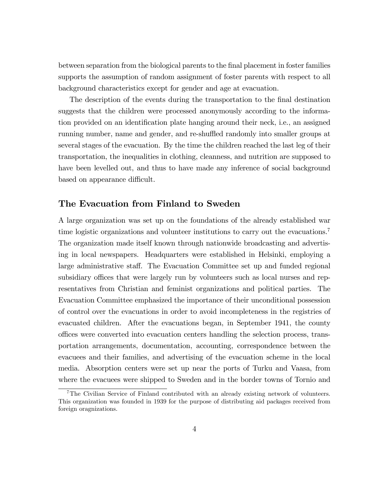between separation from the biological parents to the final placement in foster families supports the assumption of random assignment of foster parents with respect to all background characteristics except for gender and age at evacuation.

The description of the events during the transportation to the final destination suggests that the children were processed anonymously according to the information provided on an identification plate hanging around their neck, i.e., an assigned running number, name and gender, and re-shuffled randomly into smaller groups at several stages of the evacuation. By the time the children reached the last leg of their transportation, the inequalities in clothing, cleanness, and nutrition are supposed to have been levelled out, and thus to have made any inference of social background based on appearance difficult.

### The Evacuation from Finland to Sweden

A large organization was set up on the foundations of the already established war time logistic organizations and volunteer institutions to carry out the evacuations.<sup>7</sup> The organization made itself known through nationwide broadcasting and advertising in local newspapers. Headquarters were established in Helsinki, employing a large administrative staff. The Evacuation Committee set up and funded regional subsidiary offices that were largely run by volunteers such as local nurses and representatives from Christian and feminist organizations and political parties. The Evacuation Committee emphasized the importance of their unconditional possession of control over the evacuations in order to avoid incompleteness in the registries of evacuated children. After the evacuations began, in September 1941, the county o¢ ces were converted into evacuation centers handling the selection process, transportation arrangements, documentation, accounting, correspondence between the evacuees and their families, and advertising of the evacuation scheme in the local media. Absorption centers were set up near the ports of Turku and Vaasa, from where the evacuees were shipped to Sweden and in the border towns of Tornio and

<sup>7</sup>The Civilian Service of Finland contributed with an already existing network of volunteers. This organization was founded in 1939 for the purpose of distributing aid packages received from foreign oragnizations.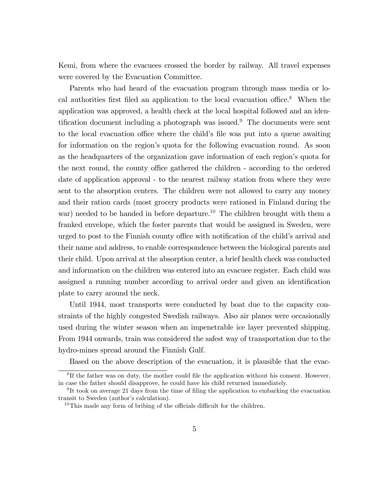Kemi, from where the evacuees crossed the border by railway. All travel expenses were covered by the Evacuation Committee.

Parents who had heard of the evacuation program through mass media or local authorities first filed an application to the local evacuation of  $e^8$ . When the application was approved, a health check at the local hospital followed and an identification document including a photograph was issued.<sup>9</sup> The documents were sent to the local evacuation office where the child's file was put into a queue awaiting for information on the region's quota for the following evacuation round. As soon as the headquarters of the organization gave information of each region's quota for the next round, the county office gathered the children - according to the ordered date of application approval - to the nearest railway station from where they were sent to the absorption centers. The children were not allowed to carry any money and their ration cards (most grocery products were rationed in Finland during the war) needed to be handed in before departure.<sup>10</sup> The children brought with them a franked envelope, which the foster parents that would be assigned in Sweden, were urged to post to the Finnish county office with notification of the child's arrival and their name and address, to enable correspondence between the biological parents and their child. Upon arrival at the absorption center, a brief health check was conducted and information on the children was entered into an evacuee register. Each child was assigned a running number according to arrival order and given an identification plate to carry around the neck.

Until 1944, most transports were conducted by boat due to the capacity constraints of the highly congested Swedish railways. Also air planes were occasionally used during the winter season when an impenetrable ice layer prevented shipping. From 1944 onwards, train was considered the safest way of transportation due to the hydro-mines spread around the Finnish Gulf.

Based on the above description of the evacuation, it is plausible that the evac-

 ${}^{8}$ If the father was on duty, the mother could file the application without his consent. However, in case the father should disapprove, he could have his child returned immediately.

<sup>&</sup>lt;sup>9</sup>It took on average 21 days from the time of filing the application to embarking the evacuation transit to Sweden (author's calculation).

<sup>&</sup>lt;sup>10</sup>This made any form of bribing of the officials difficult for the children.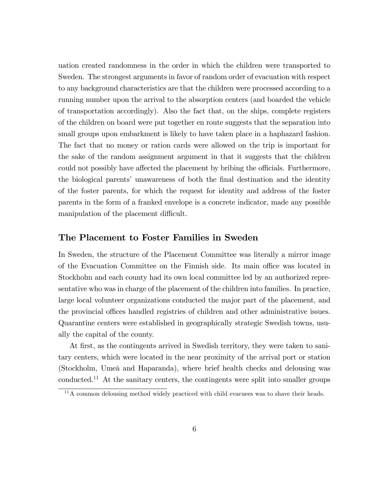uation created randomness in the order in which the children were transported to Sweden. The strongest arguments in favor of random order of evacuation with respect to any background characteristics are that the children were processed according to a running number upon the arrival to the absorption centers (and boarded the vehicle of transportation accordingly). Also the fact that, on the ships, complete registers of the children on board were put together en route suggests that the separation into small groups upon embarkment is likely to have taken place in a haphazard fashion. The fact that no money or ration cards were allowed on the trip is important for the sake of the random assignment argument in that it suggests that the children could not possibly have affected the placement by bribing the officials. Furthermore, the biological parents' unawareness of both the final destination and the identity of the foster parents, for which the request for identity and address of the foster parents in the form of a franked envelope is a concrete indicator, made any possible manipulation of the placement difficult.

### The Placement to Foster Families in Sweden

In Sweden, the structure of the Placement Committee was literally a mirror image of the Evacuation Committee on the Finnish side. Its main office was located in Stockholm and each county had its own local committee led by an authorized representative who was in charge of the placement of the children into families. In practice, large local volunteer organizations conducted the major part of the placement, and the provincial offices handled registries of children and other administrative issues. Quarantine centers were established in geographically strategic Swedish towns, usually the capital of the county.

At first, as the contingents arrived in Swedish territory, they were taken to sanitary centers, which were located in the near proximity of the arrival port or station (Stockholm, Umeå and Haparanda), where brief health checks and delousing was conducted.<sup>11</sup> At the sanitary centers, the contingents were split into smaller groups

 $11$ A common delousing method widely practiced with child evacuees was to shave their heads.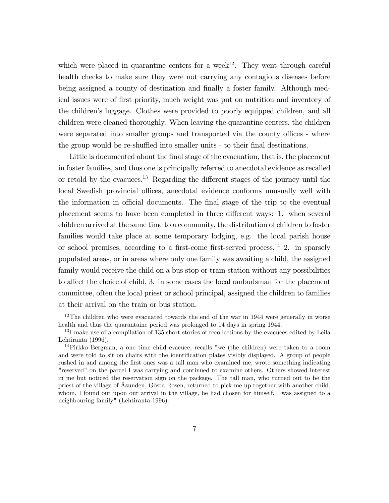which were placed in quarantine centers for a week<sup>12</sup>. They went through careful health checks to make sure they were not carrying any contagious diseases before being assigned a county of destination and finally a foster family. Although medical issues were of Örst priority, much weight was put on nutrition and inventory of the childrenís luggage. Clothes were provided to poorly equipped children, and all children were cleaned thoroughly. When leaving the quarantine centers, the children were separated into smaller groups and transported via the county offices - where the group would be re-shuffled into smaller units - to their final destinations.

Little is documented about the final stage of the evacuation, that is, the placement in foster families, and thus one is principally referred to anecdotal evidence as recalled or retold by the evacues.<sup>13</sup> Regarding the different stages of the journey until the local Swedish provincial offices, anecdotal evidence conforms unusually well with the information in official documents. The final stage of the trip to the eventual placement seems to have been completed in three different ways: 1. when several children arrived at the same time to a community, the distribution of children to foster families would take place at some temporary lodging, e.g. the local parish house or school premises, according to a first-come first-served process,<sup>14</sup> 2. in sparsely populated areas, or in areas where only one family was awaiting a child, the assigned family would receive the child on a bus stop or train station without any possibilities to affect the choice of child, 3. in some cases the local ombudsman for the placement committee, often the local priest or school principal, assigned the children to families at their arrival on the train or bus station.

 $12$ The children who were evacuated towards the end of the war in 1944 were generally in worse health and thus the quarantaine period was prolonged to 14 days in spring 1944.

<sup>&</sup>lt;sup>13</sup>I make use of a compilation of 135 short stories of recollections by the evacuees edited by Leila Lehtiranta (1996).

<sup>14</sup>Pirkko Bergman, a one time child evacuee, recalls "we (the children) were taken to a room and were told to sit on chairs with the identification plates visibly displayed. A group of people rushed in and among the first ones was a tall man who examined me, wrote something indicating "reserved" on the parcel I was carrying and continued to examine others. Others showed interest in me but noticed the reservation sign on the package. The tall man, who turned out to be the priest of the village of Åsunden, Gösta Rosen, returned to pick me up together with another child, whom, I found out upon our arrival in the village, he had chosen for himself, I was assigned to a neighbouring family" (Lehtiranta 1996).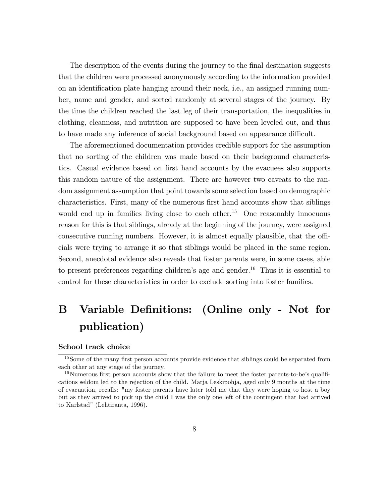The description of the events during the journey to the final destination suggests that the children were processed anonymously according to the information provided on an identification plate hanging around their neck, i.e., an assigned running number, name and gender, and sorted randomly at several stages of the journey. By the time the children reached the last leg of their transportation, the inequalities in clothing, cleanness, and nutrition are supposed to have been leveled out, and thus to have made any inference of social background based on appearance difficult.

The aforementioned documentation provides credible support for the assumption that no sorting of the children was made based on their background characteristics. Casual evidence based on first hand accounts by the evacuees also supports this random nature of the assignment. There are however two caveats to the random assignment assumption that point towards some selection based on demographic characteristics. First, many of the numerous first hand accounts show that siblings would end up in families living close to each other.<sup>15</sup> One reasonably innocuous reason for this is that siblings, already at the beginning of the journey, were assigned consecutive running numbers. However, it is almost equally plausible, that the officials were trying to arrange it so that siblings would be placed in the same region. Second, anecdotal evidence also reveals that foster parents were, in some cases, able to present preferences regarding children's age and gender.<sup>16</sup> Thus it is essential to control for these characteristics in order to exclude sorting into foster families.

## B Variable Definitions: (Online only - Not for publication)

#### School track choice

<sup>&</sup>lt;sup>15</sup>Some of the many first person accounts provide evidence that siblings could be separated from each other at any stage of the journey.

 $16$ Numerous first person accounts show that the failure to meet the foster parents-to-be's qualifications seldom led to the rejection of the child. Marja Leskipohja, aged only 9 months at the time of evacuation, recalls: "my foster parents have later told me that they were hoping to host a boy but as they arrived to pick up the child I was the only one left of the contingent that had arrived to Karlstad" (Lehtiranta, 1996).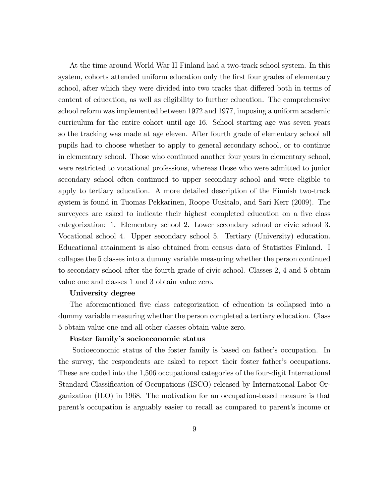At the time around World War II Finland had a two-track school system. In this system, cohorts attended uniform education only the first four grades of elementary school, after which they were divided into two tracks that differed both in terms of content of education, as well as eligibility to further education. The comprehensive school reform was implemented between 1972 and 1977, imposing a uniform academic curriculum for the entire cohort until age 16. School starting age was seven years so the tracking was made at age eleven. After fourth grade of elementary school all pupils had to choose whether to apply to general secondary school, or to continue in elementary school. Those who continued another four years in elementary school, were restricted to vocational professions, whereas those who were admitted to junior secondary school often continued to upper secondary school and were eligible to apply to tertiary education. A more detailed description of the Finnish two-track system is found in Tuomas Pekkarinen, Roope Uusitalo, and Sari Kerr (2009). The surveyees are asked to indicate their highest completed education on a five class categorization: 1. Elementary school 2. Lower secondary school or civic school 3. Vocational school 4. Upper secondary school 5. Tertiary (University) education. Educational attainment is also obtained from census data of Statistics Finland. I collapse the 5 classes into a dummy variable measuring whether the person continued to secondary school after the fourth grade of civic school. Classes 2, 4 and 5 obtain value one and classes 1 and 3 obtain value zero.

#### University degree

The aforementioned five class categorization of education is collapsed into a dummy variable measuring whether the person completed a tertiary education. Class 5 obtain value one and all other classes obtain value zero.

#### Foster family's socioeconomic status

Socioeconomic status of the foster family is based on father's occupation. In the survey, the respondents are asked to report their foster father's occupations. These are coded into the 1,506 occupational categories of the four-digit International Standard Classification of Occupations (ISCO) released by International Labor Organization (ILO) in 1968. The motivation for an occupation-based measure is that parent's occupation is arguably easier to recall as compared to parent's income or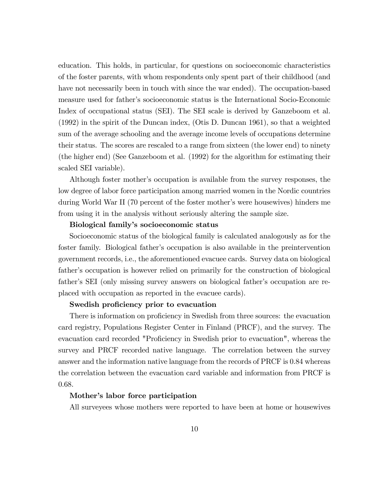education. This holds, in particular, for questions on socioeconomic characteristics of the foster parents, with whom respondents only spent part of their childhood (and have not necessarily been in touch with since the war ended). The occupation-based measure used for fatherís socioeconomic status is the International Socio-Economic Index of occupational status (SEI). The SEI scale is derived by Ganzeboom et al. (1992) in the spirit of the Duncan index, (Otis D. Duncan 1961), so that a weighted sum of the average schooling and the average income levels of occupations determine their status. The scores are rescaled to a range from sixteen (the lower end) to ninety (the higher end) (See Ganzeboom et al. (1992) for the algorithm for estimating their scaled SEI variable).

Although foster mother's occupation is available from the survey responses, the low degree of labor force participation among married women in the Nordic countries during World War II (70 percent of the foster mother's were housewives) hinders me from using it in the analysis without seriously altering the sample size.

#### Biological family's socioeconomic status

Socioeconomic status of the biological family is calculated analogously as for the foster family. Biological fatherís occupation is also available in the preintervention government records, i.e., the aforementioned evacuee cards. Survey data on biological father's occupation is however relied on primarily for the construction of biological father's SEI (only missing survey answers on biological father's occupation are replaced with occupation as reported in the evacuee cards).

#### Swedish proficiency prior to evacuation

There is information on proficiency in Swedish from three sources: the evacuation card registry, Populations Register Center in Finland (PRCF), and the survey. The evacuation card recorded "Proficiency in Swedish prior to evacuation", whereas the survey and PRCF recorded native language. The correlation between the survey answer and the information native language from the records of PRCF is 0.84 whereas the correlation between the evacuation card variable and information from PRCF is 0.68.

#### Mother's labor force participation

All surveyees whose mothers were reported to have been at home or housewives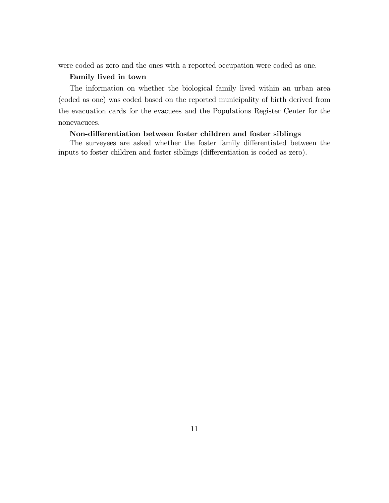were coded as zero and the ones with a reported occupation were coded as one.

#### Family lived in town

The information on whether the biological family lived within an urban area (coded as one) was coded based on the reported municipality of birth derived from the evacuation cards for the evacuees and the Populations Register Center for the nonevacuees.

#### Non-differentiation between foster children and foster siblings

The surveyees are asked whether the foster family differentiated between the inputs to foster children and foster siblings (differentiation is coded as zero).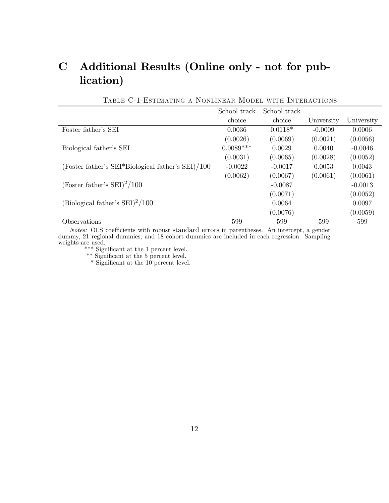### C Additional Results (Online only - not for publication)

|                                                   | School track |           |            |            |
|---------------------------------------------------|--------------|-----------|------------|------------|
|                                                   | choice       | choice    | University | University |
| Foster father's SEI                               | 0.0036       | $0.0118*$ | $-0.0009$  | 0.0006     |
|                                                   | (0.0026)     | (0.0069)  | (0.0021)   | (0.0056)   |
| Biological father's SEI                           | $0.0089***$  | 0.0029    | 0.0040     | $-0.0046$  |
|                                                   | (0.0031)     | (0.0065)  | (0.0028)   | (0.0052)   |
| (Foster father's SEI*Biological father's SEI)/100 | $-0.0022$    | $-0.0017$ | 0.0053     | 0.0043     |
|                                                   | (0.0062)     | (0.0067)  | (0.0061)   | (0.0061)   |
| (Foster father's $SEI)^{2}/100$                   |              | $-0.0087$ |            | $-0.0013$  |
|                                                   |              | (0.0071)  |            | (0.0052)   |
| (Biological father's $SEI)^2/100$                 |              | 0.0064    |            | 0.0097     |
|                                                   |              | (0.0076)  |            | (0.0059)   |
| Observations                                      | 599          | 599       | 599        | 599        |

Table C-1-Estimating a Nonlinear Model with Interactions

Notes: OLS coefficients with robust standard errors in parentheses. An intercept, a gender dummy, 21 regional dummies, and 18 cohort dummies are included in each regression. Sampling weights are used.

 $\rm ^{***}$  Significant at the 1 percent level.

\*\* Significant at the 5 percent level.

\* Significant at the 10 percent level.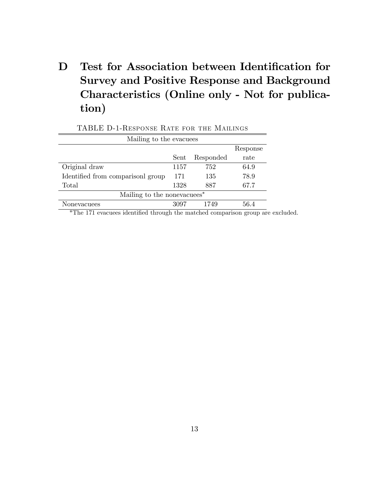## D Test for Association between Identification for Survey and Positive Response and Background Characteristics (Online only - Not for publication)

| Mailing to the evacuees                |      |           |          |  |
|----------------------------------------|------|-----------|----------|--|
|                                        |      |           | Response |  |
|                                        | Sent | Responded | rate     |  |
| Original draw                          | 1157 | 752       | 64.9     |  |
| Identified from comparisonl group      | 171  | 135       | 78.9     |  |
| Total                                  | 1328 | 887       | 67.7     |  |
| Mailing to the nonevacues <sup>*</sup> |      |           |          |  |
| Nonevacuees                            | 3097 | 1749      | 56.4     |  |

\*The 171 evacuees identified through the matched comparison group are excluded.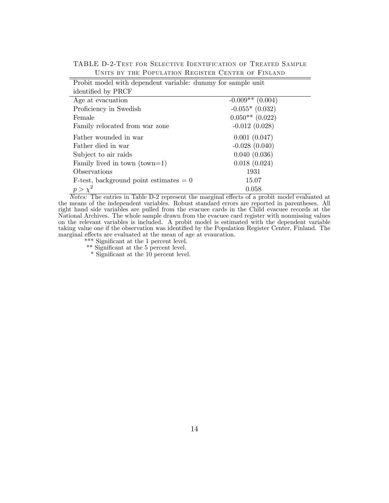Probit model with dependent variable: dummy for sample unit identified by PRCF Age at evacuation  $-0.009** (0.004)$ Proficiency in Swedish  $-0.055*$   $(0.032)$ Female  $0.050**$  (0.022) Family relocated from war zone  $-0.012$  (0.028) Father wounded in war  $0.001$  (0.047) Father died in war  $-0.028(0.040)$ Subject to air raids 0.040 (0.036) Family lived in town  $(town=1)$  0.018  $(0.024)$ Observations 1931 F-test, background point estimates  $= 0$  15.07  $p > \chi^2$  0.058

TABLE D-2-Test for Selective Identification of Treated Sample Units by the Population Register Center of Finland

 $\overline{Notes:}$  The entries in Table D-2 represent the marginal effects of a probit model evaluated at the means of the independent variables. Robust standard errors are reported in parentheses. All right hand side variables are pulled from the evacuee cards in the Child evacuee records at the National Archives. The whole sample drawn from the evacuee card register with nonmissing values on the relevant variables is included. A probit model is estimated with the dependent variable taking value one if the observation was identified by the Population Register Center, Finland. The marginal effects are evaluated at the mean of age at evaucation.

 $\rm ^{***}$  Significant at the 1 percent level.

\*\* Significant at the 5 percent level.

 $*$  Significant at the 10 percent level.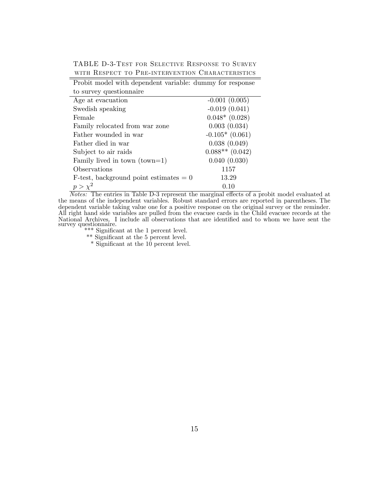TABLE D-3-Test for Selective Response to Survey WITH RESPECT TO PRE-INTERVENTION CHARACTERISTICS

| Probit model with dependent variable: dummy for response |                   |
|----------------------------------------------------------|-------------------|
| to survey question aire                                  |                   |
| Age at evacuation                                        | $-0.001(0.005)$   |
| Swedish speaking                                         | $-0.019(0.041)$   |
| Female                                                   | $0.048*$ (0.028)  |
| Family relocated from war zone                           | 0.003(0.034)      |
| Father wounded in war                                    | $-0.105*(0.061)$  |
| Father died in war                                       | 0.038(0.049)      |
| Subject to air raids                                     | $0.088**$ (0.042) |
| Family lived in town $(town=1)$                          | 0.040(0.030)      |
| Observations                                             | 1157              |
| $F-test$ , background point estimates $= 0$              | 13.29             |
| $p > \chi^2$                                             | 0.10              |

Notes: The entries in Table D-3 represent the marginal effects of a probit model evaluated at the means of the independent variables. Robust standard errors are reported in parentheses. The dependent variable taking value one for a positive response on the original survey or the reminder. All right hand side variables are pulled from the evacuee cards in the Child evacuee records at the National Archives. I include all observations that are identified and to whom we have sent the survey questionnaire.

\*\*\* Significant at the 1 percent level.

\*\* Significant at the 5 percent level.

\* Significant at the 10 percent level.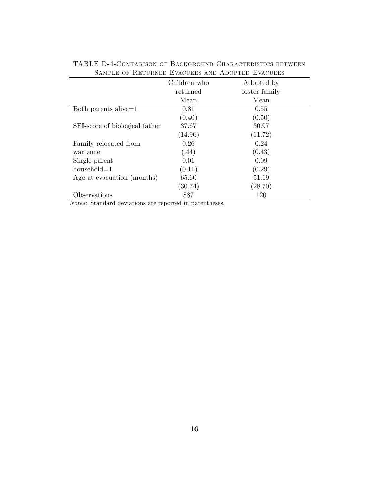| римг нь ог тонгоциар шүнөөнө ийр ирогтар шүнөөнө |              |               |  |  |
|--------------------------------------------------|--------------|---------------|--|--|
|                                                  | Children who | Adopted by    |  |  |
|                                                  | returned     | foster family |  |  |
|                                                  | Mean         | Mean          |  |  |
| Both parents alive=1                             | 0.81         | 0.55          |  |  |
|                                                  | (0.40)       | (0.50)        |  |  |
| SEI-score of biological father                   | 37.67        | 30.97         |  |  |
|                                                  | (14.96)      | (11.72)       |  |  |
| Family relocated from                            | 0.26         | 0.24          |  |  |
| war zone                                         | (.44)        | (0.43)        |  |  |
| Single-parent                                    | 0.01         | 0.09          |  |  |
| $household=1$                                    | (0.11)       | (0.29)        |  |  |
| Age at evacuation (months)                       | 65.60        | 51.19         |  |  |
|                                                  | (30.74)      | (28.70)       |  |  |
| Observations                                     | 887          | 120           |  |  |

TABLE D-4-Comparison of Background Characteristics between SAMPLE OF RETURNED EVACUEES AND ADOPTED EVACUEES

Notes: Standard deviations are reported in parentheses.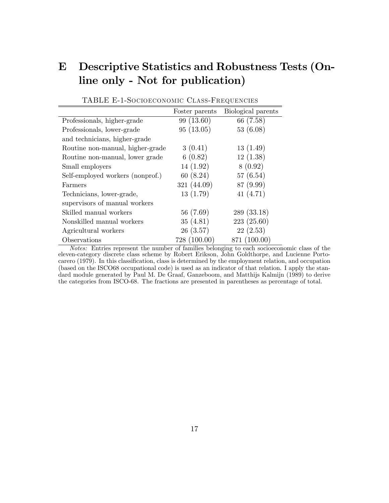### E Descriptive Statistics and Robustness Tests (Online only - Not for publication)

|                                  | Foster parents | Biological parents |
|----------------------------------|----------------|--------------------|
| Professionals, higher-grade      | 99(13.60)      | 66 (7.58)          |
| Professionals, lower-grade       | 95(13.05)      | 53(6.08)           |
| and technicians, higher-grade    |                |                    |
| Routine non-manual, higher-grade | 3(0.41)        | 13(1.49)           |
| Routine non-manual, lower grade  | 6(0.82)        | 12(1.38)           |
| Small employers                  | 14(1.92)       | 8(0.92)            |
| Self-employed workers (nonprof.) | 60(8.24)       | 57(6.54)           |
| Farmers                          | 321 (44.09)    | 87 (9.99)          |
| Technicians, lower-grade,        | 13(1.79)       | 41 $(4.71)$        |
| supervisors of manual workers    |                |                    |
| Skilled manual workers           | 56 (7.69)      | 289 (33.18)        |
| Nonskilled manual workers        | 35(4.81)       | 223(25.60)         |
| Agricultural workers             | 26(3.57)       | 22(2.53)           |
| Observations                     | 728 (100.00)   | 871 (100.00)       |

TABLE E-1-Socioeconomic Class-Frequencies

Notes: Entries represent the number of families belonging to each socioeconomic class of the eleven-category discrete class scheme by Robert Erikson, John Goldthorpe, and Lucienne Portocarero (1979). In this classification, class is determined by the employment relation, and occupation (based on the ISCO68 occupational code) is used as an indicator of that relation. I apply the standard module generated by Paul M. De Graaf, Ganzeboom, and Matthijs Kalmijn (1989) to derive the categories from ISCO-68. The fractions are presented in parentheses as percentage of total.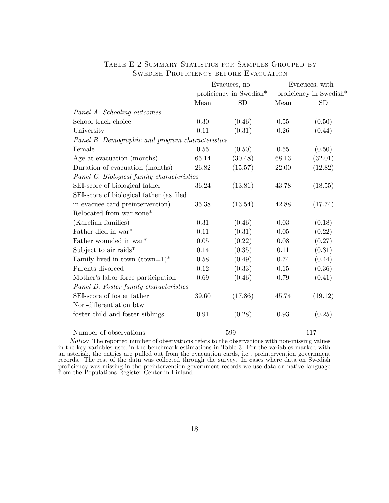|                                                  |       | Evacuees, no            |       | Evacuees, with          |  |
|--------------------------------------------------|-------|-------------------------|-------|-------------------------|--|
|                                                  |       | proficiency in Swedish* |       | proficiency in Swedish* |  |
|                                                  | Mean  | <b>SD</b>               | Mean  | <b>SD</b>               |  |
| Panel A. Schooling outcomes                      |       |                         |       |                         |  |
| School track choice                              | 0.30  | (0.46)                  | 0.55  | (0.50)                  |  |
| University                                       | 0.11  | (0.31)                  | 0.26  | (0.44)                  |  |
| Panel B. Demographic and program characteristics |       |                         |       |                         |  |
| Female                                           | 0.55  | (0.50)                  | 0.55  | (0.50)                  |  |
| Age at evacuation (months)                       | 65.14 | (30.48)                 | 68.13 | (32.01)                 |  |
| Duration of evacuation (months)                  | 26.82 | (15.57)                 | 22.00 | (12.82)                 |  |
| Panel C. Biological family characteristics       |       |                         |       |                         |  |
| SEI-score of biological father                   | 36.24 | (13.81)                 | 43.78 | (18.55)                 |  |
| SEI-score of biological father (as filed         |       |                         |       |                         |  |
| in evacuee card preintervention)                 | 35.38 | (13.54)                 | 42.88 | (17.74)                 |  |
| Relocated from war zone*                         |       |                         |       |                         |  |
| (Karelian families)                              | 0.31  | (0.46)                  | 0.03  | (0.18)                  |  |
| Father died in war*                              | 0.11  | (0.31)                  | 0.05  | (0.22)                  |  |
| Father wounded in war*                           | 0.05  | (0.22)                  | 0.08  | (0.27)                  |  |
| Subject to air raids*                            | 0.14  | (0.35)                  | 0.11  | (0.31)                  |  |
| Family lived in town $(town=1)^*$                | 0.58  | (0.49)                  | 0.74  | (0.44)                  |  |
| Parents divorced                                 | 0.12  | (0.33)                  | 0.15  | (0.36)                  |  |
| Mother's labor force participation               | 0.69  | (0.46)                  | 0.79  | (0.41)                  |  |
| Panel D. Foster family characteristics           |       |                         |       |                         |  |
| SEI-score of foster father                       | 39.60 | (17.86)                 | 45.74 | (19.12)                 |  |
| Non-differentiation btw                          |       |                         |       |                         |  |
| foster child and foster siblings                 | 0.91  | (0.28)                  | 0.93  | (0.25)                  |  |
| Number of observations                           |       | 599                     |       | 117                     |  |

### Table E-2-Summary Statistics for Samples Grouped by Swedish Proficiency before Evacuation

Notes: The reported number of observations refers to the observations with non-missing values in the key variables used in the benchmark estimations in Table 3. For the variables marked with an asterisk, the entries are pulled out from the evacuation cards, i.e., preintervention government records. The rest of the data was collected through the survey. In cases where data on Swedish proficiency was missing in the preintervention government records we use data on native language from the Populations Register Center in Finland.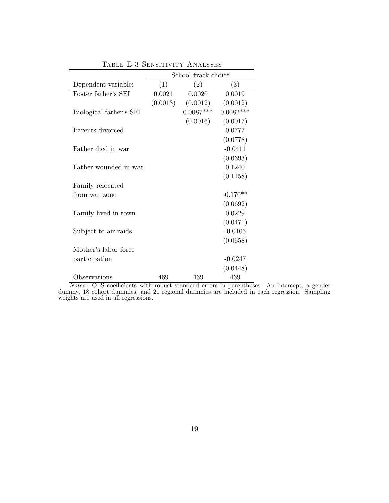|                         | School track choice |             |             |  |
|-------------------------|---------------------|-------------|-------------|--|
| Dependent variable:     | (1)                 | (2)         | (3)         |  |
| Foster father's SEI     | 0.0021              | 0.0020      | 0.0019      |  |
|                         | (0.0013)            | (0.0012)    | (0.0012)    |  |
| Biological father's SEI |                     | $0.0087***$ | $0.0082***$ |  |
|                         |                     | (0.0016)    | (0.0017)    |  |
| Parents divorced        |                     |             | 0.0777      |  |
|                         |                     |             | (0.0778)    |  |
| Father died in war      |                     |             | $-0.0411$   |  |
|                         |                     |             | (0.0693)    |  |
| Father wounded in war   |                     |             | 0.1240      |  |
|                         |                     |             | (0.1158)    |  |
| Family relocated        |                     |             |             |  |
| from war zone           |                     |             | $-0.170**$  |  |
|                         |                     |             | (0.0692)    |  |
| Family lived in town    |                     |             | 0.0229      |  |
|                         |                     |             | (0.0471)    |  |
| Subject to air raids    |                     |             | $-0.0105$   |  |
|                         |                     |             | (0.0658)    |  |
| Mother's labor force    |                     |             |             |  |
| participation           |                     |             | $-0.0247$   |  |
|                         |                     |             | (0.0448)    |  |
| Observations            | 469                 | 469         | 469         |  |

Table E-3-Sensitivity Analyses

Notes: OLS coefficients with robust standard errors in parentheses. An intercept, a gender dummy, 18 cohort dummies, and 21 regional dummies are included in each regression. Sampling weights are used in all regressions.